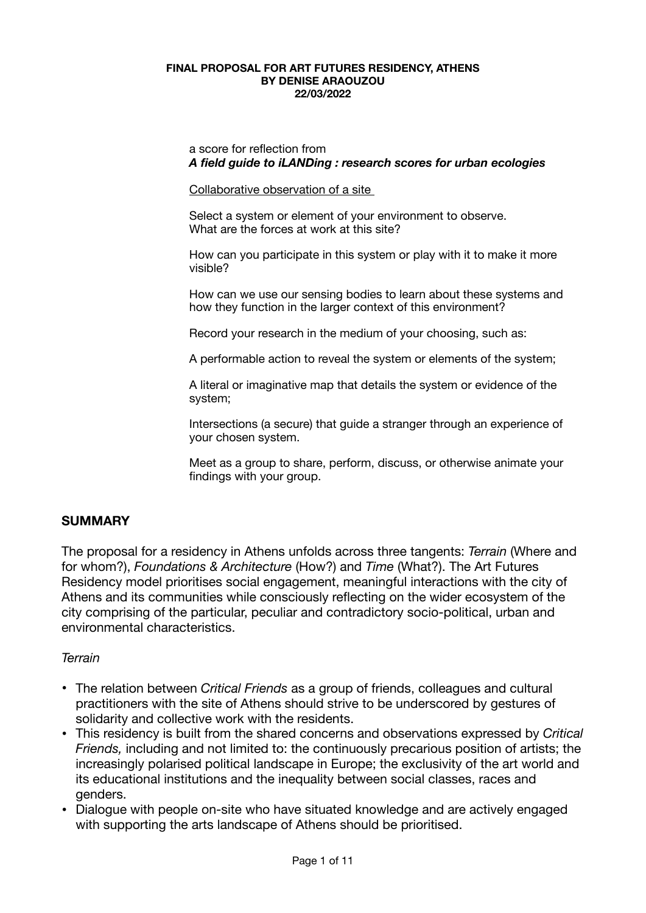#### **FINAL PROPOSAL FOR ART FUTURES RESIDENCY, ATHENS BY DENISE ARAOUZOU 22/03/2022**

a score for reflection from *A field guide to iLANDing : research scores for urban ecologies* 

Collaborative observation of a site

Select a system or element of your environment to observe. What are the forces at work at this site?

How can you participate in this system or play with it to make it more visible?

How can we use our sensing bodies to learn about these systems and how they function in the larger context of this environment?

Record your research in the medium of your choosing, such as:

A performable action to reveal the system or elements of the system;

A literal or imaginative map that details the system or evidence of the system;

Intersections (a secure) that guide a stranger through an experience of your chosen system.

Meet as a group to share, perform, discuss, or otherwise animate your findings with your group.

# **SUMMARY**

The proposal for a residency in Athens unfolds across three tangents: *Terrain* (Where and for whom?), *Foundations & Architecture* (How?) and *Time* (What?). The Art Futures Residency model prioritises social engagement, meaningful interactions with the city of Athens and its communities while consciously reflecting on the wider ecosystem of the city comprising of the particular, peculiar and contradictory socio-political, urban and environmental characteristics.

## *Terrain*

- The relation between *Critical Friends* as a group of friends, colleagues and cultural practitioners with the site of Athens should strive to be underscored by gestures of solidarity and collective work with the residents.
- This residency is built from the shared concerns and observations expressed by *Critical Friends,* including and not limited to: the continuously precarious position of artists; the increasingly polarised political landscape in Europe; the exclusivity of the art world and its educational institutions and the inequality between social classes, races and genders.
- Dialogue with people on-site who have situated knowledge and are actively engaged with supporting the arts landscape of Athens should be prioritised.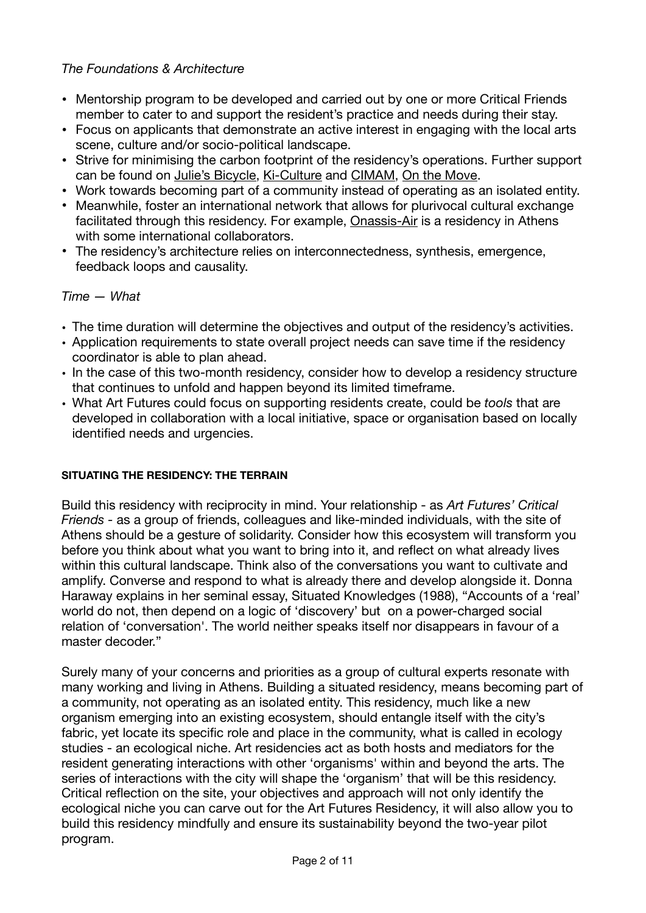# *The Foundations & Architecture*

- Mentorship program to be developed and carried out by one or more Critical Friends member to cater to and support the resident's practice and needs during their stay.
- Focus on applicants that demonstrate an active interest in engaging with the local arts scene, culture and/or socio-political landscape.
- Strive for minimising the carbon footprint of the residency's operations. Further support can be found on [Julie's Bicycle](https://juliesbicycle.com/), [Ki-Culture](https://www.kiculture.org/ki-books/) and [CIMAM](https://cimam.org/sustainability-and-ecology-museum-practice/cimams-toolkit-on-environmental-sustainability/), [On the Move.](https://on-the-move.org/resources/funding/gala-funding-guide-arts-and-culture-projects-related-environmental-sustainability)
- Work towards becoming part of a community instead of operating as an isolated entity.
- Meanwhile, foster an international network that allows for plurivocal cultural exchange facilitated through this residency. For example, [Onassis-Air](https://www.onassis.org/initiatives/onassis-future/residencies/onassis-air/collaborations) is a residency in Athens with some international collaborators.
- The residency's architecture relies on interconnectedness, synthesis, emergence, feedback loops and causality.

# *Time — What*

- The time duration will determine the objectives and output of the residency's activities.
- Application requirements to state overall project needs can save time if the residency coordinator is able to plan ahead.
- In the case of this two-month residency, consider how to develop a residency structure that continues to unfold and happen beyond its limited timeframe.
- What Art Futures could focus on supporting residents create, could be *tools* that are developed in collaboration with a local initiative, space or organisation based on locally identified needs and urgencies.

## **SITUATING THE RESIDENCY: THE TERRAIN**

Build this residency with reciprocity in mind. Your relationship - as *Art Futures' Critical Friends -* as a group of friends, colleagues and like-minded individuals, with the site of Athens should be a gesture of solidarity. Consider how this ecosystem will transform you before you think about what you want to bring into it, and reflect on what already lives within this cultural landscape. Think also of the conversations you want to cultivate and amplify. Converse and respond to what is already there and develop alongside it. Donna Haraway explains in her seminal essay, Situated Knowledges (1988), "Accounts of a 'real' world do not, then depend on a logic of 'discovery' but on a power-charged social relation of 'conversation'. The world neither speaks itself nor disappears in favour of a master decoder."

Surely many of your concerns and priorities as a group of cultural experts resonate with many working and living in Athens. Building a situated residency, means becoming part of a community, not operating as an isolated entity. This residency, much like a new organism emerging into an existing ecosystem, should entangle itself with the city's fabric, yet locate its specific role and place in the community, what is called in ecology studies - an ecological niche. Art residencies act as both hosts and mediators for the resident generating interactions with other 'organisms' within and beyond the arts. The series of interactions with the city will shape the 'organism' that will be this residency. Critical reflection on the site, your objectives and approach will not only identify the ecological niche you can carve out for the Art Futures Residency, it will also allow you to build this residency mindfully and ensure its sustainability beyond the two-year pilot program.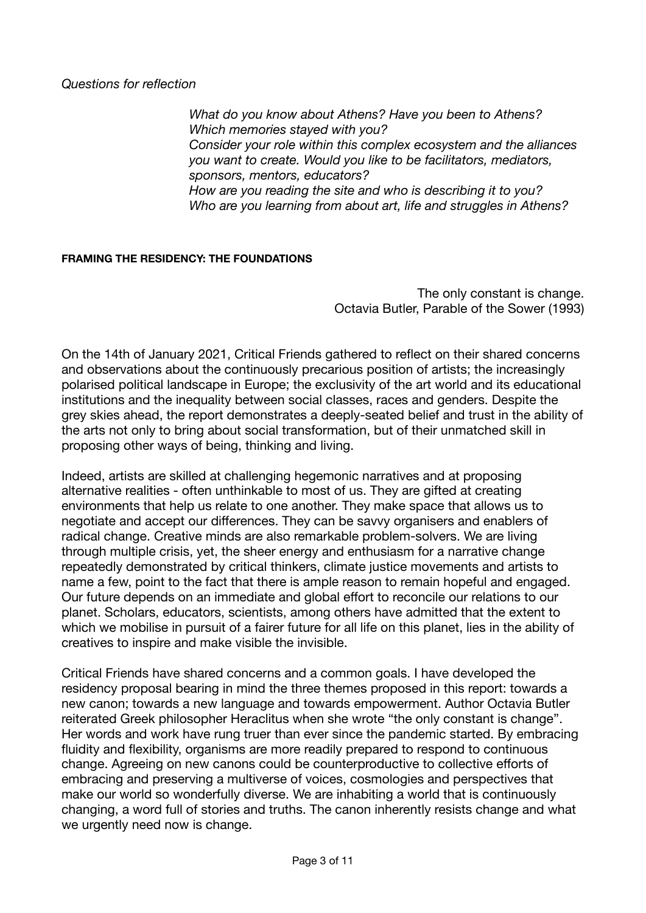*Questions for reflection* 

*What do you know about Athens? Have you been to Athens? Which memories stayed with you? Consider your role within this complex ecosystem and the alliances you want to create. Would you like to be facilitators, mediators, sponsors, mentors, educators? How are you reading the site and who is describing it to you? Who are you learning from about art, life and struggles in Athens?* 

#### **FRAMING THE RESIDENCY: THE FOUNDATIONS**

The only constant is change. Octavia Butler, Parable of the Sower (1993)

On the 14th of January 2021, Critical Friends gathered to reflect on their shared concerns and observations about the continuously precarious position of artists; the increasingly polarised political landscape in Europe; the exclusivity of the art world and its educational institutions and the inequality between social classes, races and genders. Despite the grey skies ahead, the report demonstrates a deeply-seated belief and trust in the ability of the arts not only to bring about social transformation, but of their unmatched skill in proposing other ways of being, thinking and living.

Indeed, artists are skilled at challenging hegemonic narratives and at proposing alternative realities - often unthinkable to most of us. They are gifted at creating environments that help us relate to one another. They make space that allows us to negotiate and accept our differences. They can be savvy organisers and enablers of radical change. Creative minds are also remarkable problem-solvers. We are living through multiple crisis, yet, the sheer energy and enthusiasm for a narrative change repeatedly demonstrated by critical thinkers, climate justice movements and artists to name a few, point to the fact that there is ample reason to remain hopeful and engaged. Our future depends on an immediate and global effort to reconcile our relations to our planet. Scholars, educators, scientists, among others have admitted that the extent to which we mobilise in pursuit of a fairer future for all life on this planet, lies in the ability of creatives to inspire and make visible the invisible.

Critical Friends have shared concerns and a common goals. I have developed the residency proposal bearing in mind the three themes proposed in this report: towards a new canon; towards a new language and towards empowerment. Author Octavia Butler reiterated Greek philosopher Heraclitus when she wrote "the only constant is change". Her words and work have rung truer than ever since the pandemic started. By embracing fluidity and flexibility, organisms are more readily prepared to respond to continuous change. Agreeing on new canons could be counterproductive to collective efforts of embracing and preserving a multiverse of voices, cosmologies and perspectives that make our world so wonderfully diverse. We are inhabiting a world that is continuously changing, a word full of stories and truths. The canon inherently resists change and what we urgently need now is change.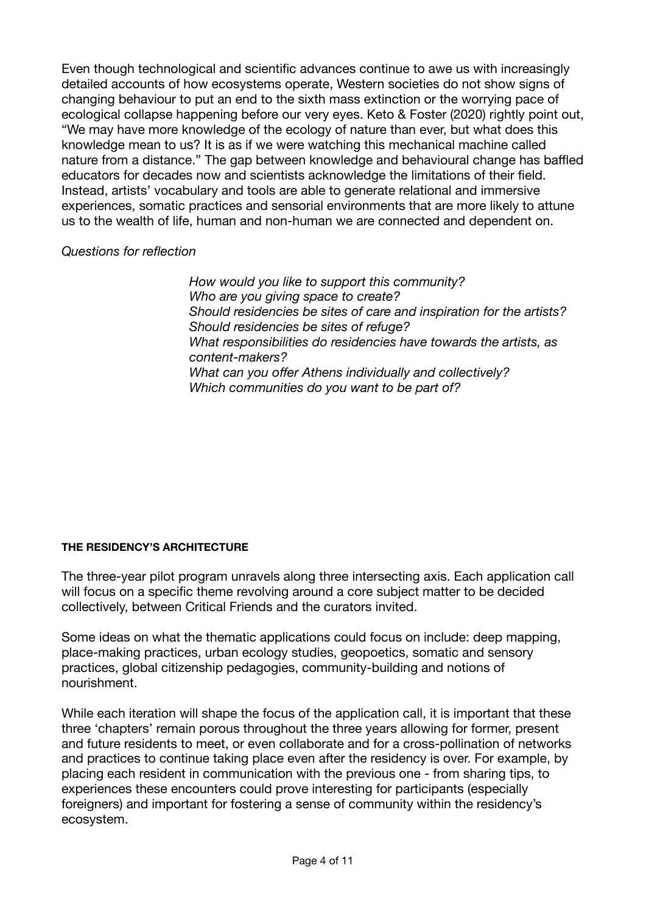Even though technological and scientific advances continue to awe us with increasingly detailed accounts of how ecosystems operate, Western societies do not show signs of changing behaviour to put an end to the sixth mass extinction or the worrying pace of ecological collapse happening before our very eyes. Keto & Foster (2020) rightly point out, "We may have more knowledge of the ecology of nature than ever, but what does this knowledge mean to us? It is as if we were watching this mechanical machine called nature from a distance." The gap between knowledge and behavioural change has baffled educators for decades now and scientists acknowledge the limitations of their field. Instead, artists' vocabulary and tools are able to generate relational and immersive experiences, somatic practices and sensorial environments that are more likely to attune us to the wealth of life, human and non-human we are connected and dependent on.

## *Questions for reflection*

*How would you like to support this community? Who are you giving space to create? Should residencies be sites of care and inspiration for the artists? Should residencies be sites of refuge? What responsibilities do residencies have towards the artists, as content-makers? What can you offer Athens individually and collectively? Which communities do you want to be part of?* 

# **THE RESIDENCY'S ARCHITECTURE**

The three-year pilot program unravels along three intersecting axis. Each application call will focus on a specific theme revolving around a core subject matter to be decided collectively, between Critical Friends and the curators invited.

Some ideas on what the thematic applications could focus on include: deep mapping, place-making practices, urban ecology studies, geopoetics, somatic and sensory practices, global citizenship pedagogies, community-building and notions of nourishment.

While each iteration will shape the focus of the application call, it is important that these three 'chapters' remain porous throughout the three years allowing for former, present and future residents to meet, or even collaborate and for a cross-pollination of networks and practices to continue taking place even after the residency is over. For example, by placing each resident in communication with the previous one - from sharing tips, to experiences these encounters could prove interesting for participants (especially foreigners) and important for fostering a sense of community within the residency's ecosystem.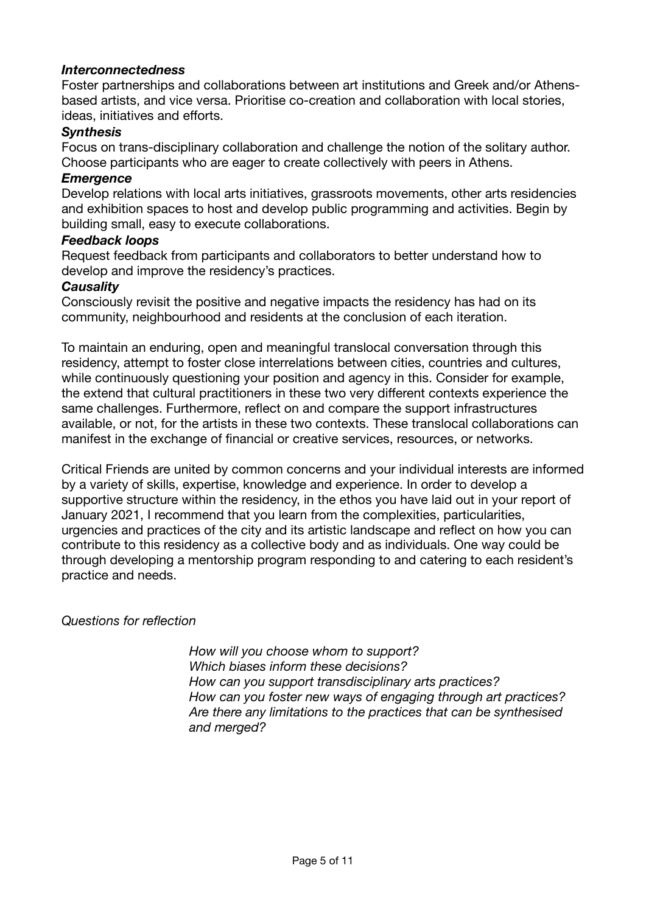## *Interconnectedness*

Foster partnerships and collaborations between art institutions and Greek and/or Athensbased artists, and vice versa. Prioritise co-creation and collaboration with local stories, ideas, initiatives and efforts.

## *Synthesis*

Focus on trans-disciplinary collaboration and challenge the notion of the solitary author. Choose participants who are eager to create collectively with peers in Athens.

#### *Emergence*

Develop relations with local arts initiatives, grassroots movements, other arts residencies and exhibition spaces to host and develop public programming and activities. Begin by building small, easy to execute collaborations.

#### *Feedback loops*

Request feedback from participants and collaborators to better understand how to develop and improve the residency's practices.

#### *Causality*

Consciously revisit the positive and negative impacts the residency has had on its community, neighbourhood and residents at the conclusion of each iteration.

To maintain an enduring, open and meaningful translocal conversation through this residency, attempt to foster close interrelations between cities, countries and cultures, while continuously questioning your position and agency in this. Consider for example, the extend that cultural practitioners in these two very different contexts experience the same challenges. Furthermore, reflect on and compare the support infrastructures available, or not, for the artists in these two contexts. These translocal collaborations can manifest in the exchange of financial or creative services, resources, or networks.

Critical Friends are united by common concerns and your individual interests are informed by a variety of skills, expertise, knowledge and experience. In order to develop a supportive structure within the residency, in the ethos you have laid out in your report of January 2021, I recommend that you learn from the complexities, particularities, urgencies and practices of the city and its artistic landscape and reflect on how you can contribute to this residency as a collective body and as individuals. One way could be through developing a mentorship program responding to and catering to each resident's practice and needs.

## *Questions for reflection*

*How will you choose whom to support? Which biases inform these decisions? How can you support transdisciplinary arts practices? How can you foster new ways of engaging through art practices? Are there any limitations to the practices that can be synthesised and merged?*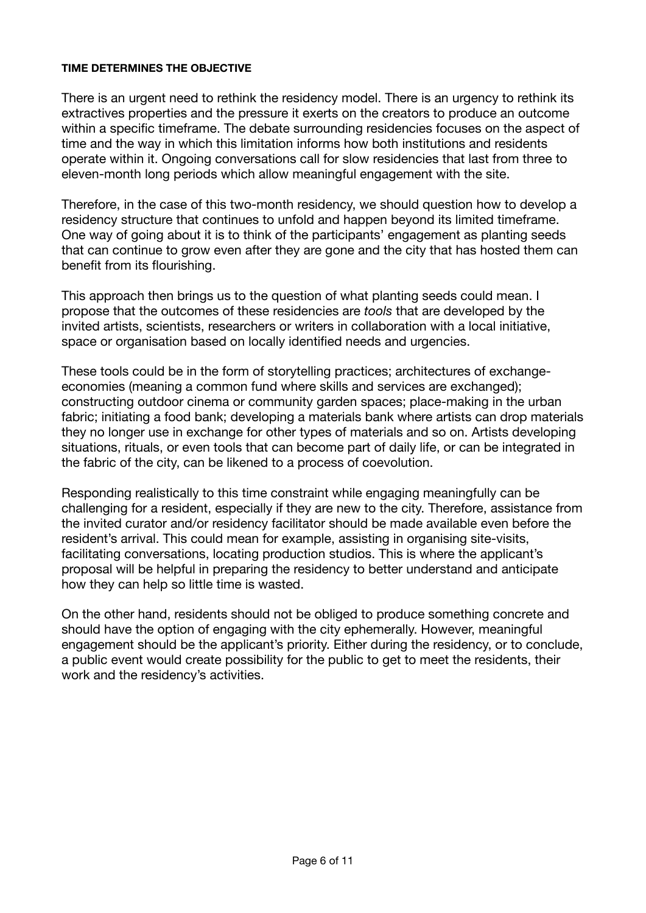#### **TIME DETERMINES THE OBJECTIVE**

There is an urgent need to rethink the residency model. There is an urgency to rethink its extractives properties and the pressure it exerts on the creators to produce an outcome within a specific timeframe. The debate surrounding residencies focuses on the aspect of time and the way in which this limitation informs how both institutions and residents operate within it. Ongoing conversations call for slow residencies that last from three to eleven-month long periods which allow meaningful engagement with the site.

Therefore, in the case of this two-month residency, we should question how to develop a residency structure that continues to unfold and happen beyond its limited timeframe. One way of going about it is to think of the participants' engagement as planting seeds that can continue to grow even after they are gone and the city that has hosted them can benefit from its flourishing.

This approach then brings us to the question of what planting seeds could mean. I propose that the outcomes of these residencies are *tools* that are developed by the invited artists, scientists, researchers or writers in collaboration with a local initiative, space or organisation based on locally identified needs and urgencies.

These tools could be in the form of storytelling practices; architectures of exchangeeconomies (meaning a common fund where skills and services are exchanged); constructing outdoor cinema or community garden spaces; place-making in the urban fabric; initiating a food bank; developing a materials bank where artists can drop materials they no longer use in exchange for other types of materials and so on. Artists developing situations, rituals, or even tools that can become part of daily life, or can be integrated in the fabric of the city, can be likened to a process of coevolution.

Responding realistically to this time constraint while engaging meaningfully can be challenging for a resident, especially if they are new to the city. Therefore, assistance from the invited curator and/or residency facilitator should be made available even before the resident's arrival. This could mean for example, assisting in organising site-visits, facilitating conversations, locating production studios. This is where the applicant's proposal will be helpful in preparing the residency to better understand and anticipate how they can help so little time is wasted.

On the other hand, residents should not be obliged to produce something concrete and should have the option of engaging with the city ephemerally. However, meaningful engagement should be the applicant's priority. Either during the residency, or to conclude, a public event would create possibility for the public to get to meet the residents, their work and the residency's activities.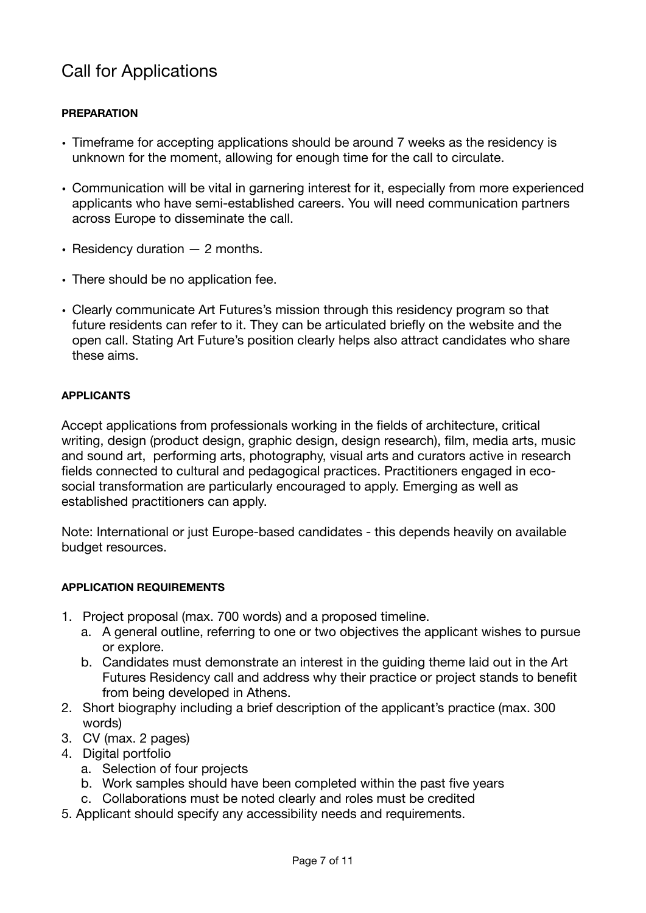# Call for Applications

## **PREPARATION**

- Timeframe for accepting applications should be around 7 weeks as the residency is unknown for the moment, allowing for enough time for the call to circulate.
- Communication will be vital in garnering interest for it, especially from more experienced applicants who have semi-established careers. You will need communication partners across Europe to disseminate the call.
- Residency duration 2 months.
- There should be no application fee.
- Clearly communicate Art Futures's mission through this residency program so that future residents can refer to it. They can be articulated briefly on the website and the open call. Stating Art Future's position clearly helps also attract candidates who share these aims.

## **APPLICANTS**

Accept applications from professionals working in the fields of architecture, critical writing, design (product design, graphic design, design research), film, media arts, music and sound art, performing arts, photography, visual arts and curators active in research fields connected to cultural and pedagogical practices. Practitioners engaged in ecosocial transformation are particularly encouraged to apply. Emerging as well as established practitioners can apply.

Note: International or just Europe-based candidates - this depends heavily on available budget resources.

#### **APPLICATION REQUIREMENTS**

- 1. Project proposal (max. 700 words) and a proposed timeline.
	- a. A general outline, referring to one or two objectives the applicant wishes to pursue or explore.
	- b. Candidates must demonstrate an interest in the guiding theme laid out in the Art Futures Residency call and address why their practice or project stands to benefit from being developed in Athens.
- 2. Short biography including a brief description of the applicant's practice (max. 300 words)
- 3. CV (max. 2 pages)
- 4. Digital portfolio
	- a. Selection of four projects
	- b. Work samples should have been completed within the past five years
	- c. Collaborations must be noted clearly and roles must be credited
- 5. Applicant should specify any accessibility needs and requirements.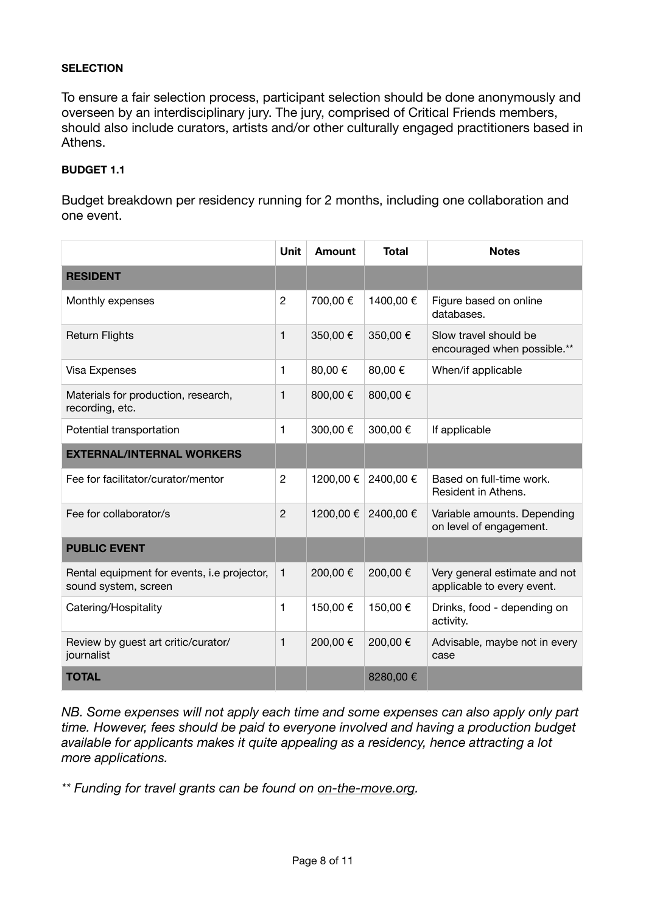#### **SELECTION**

To ensure a fair selection process, participant selection should be done anonymously and overseen by an interdisciplinary jury. The jury, comprised of Critical Friends members, should also include curators, artists and/or other culturally engaged practitioners based in Athens.

#### **BUDGET 1.1**

Budget breakdown per residency running for 2 months, including one collaboration and one event.

|                                                                     | <b>Unit</b>    | Amount   | <b>Total</b> | <b>Notes</b>                                                |
|---------------------------------------------------------------------|----------------|----------|--------------|-------------------------------------------------------------|
| <b>RESIDENT</b>                                                     |                |          |              |                                                             |
| Monthly expenses                                                    | $\overline{2}$ | 700,00 € | 1400,00€     | Figure based on online<br>databases.                        |
| <b>Return Flights</b>                                               | $\mathbf{1}$   | 350,00€  | 350,00€      | Slow travel should be<br>encouraged when possible.**        |
| Visa Expenses                                                       | 1              | 80,00€   | 80,00€       | When/if applicable                                          |
| Materials for production, research,<br>recording, etc.              | 1              | 800,00€  | 800,00€      |                                                             |
| Potential transportation                                            | 1              | 300,00€  | 300,00€      | If applicable                                               |
| <b>EXTERNAL/INTERNAL WORKERS</b>                                    |                |          |              |                                                             |
| Fee for facilitator/curator/mentor                                  | $\overline{2}$ | 1200,00€ | 2400,00€     | Based on full-time work.<br>Resident in Athens.             |
| Fee for collaborator/s                                              | $\overline{2}$ | 1200,00€ | 2400,00€     | Variable amounts. Depending<br>on level of engagement.      |
| <b>PUBLIC EVENT</b>                                                 |                |          |              |                                                             |
| Rental equipment for events, i.e projector,<br>sound system, screen | 1              | 200,00 € | 200,00€      | Very general estimate and not<br>applicable to every event. |
| Catering/Hospitality                                                | 1              | 150,00€  | 150,00€      | Drinks, food - depending on<br>activity.                    |
| Review by guest art critic/curator/<br>journalist                   | 1              | 200,00€  | 200,00€      | Advisable, maybe not in every<br>case                       |
| <b>TOTAL</b>                                                        |                |          | 8280,00€     |                                                             |

*NB. Some expenses will not apply each time and some expenses can also apply only part time. However, fees should be paid to everyone involved and having a production budget available for applicants makes it quite appealing as a residency, hence attracting a lot more applications.* 

*\*\* Funding for travel grants can be found on [on-the-move.org.](https://on-the-move.org/)*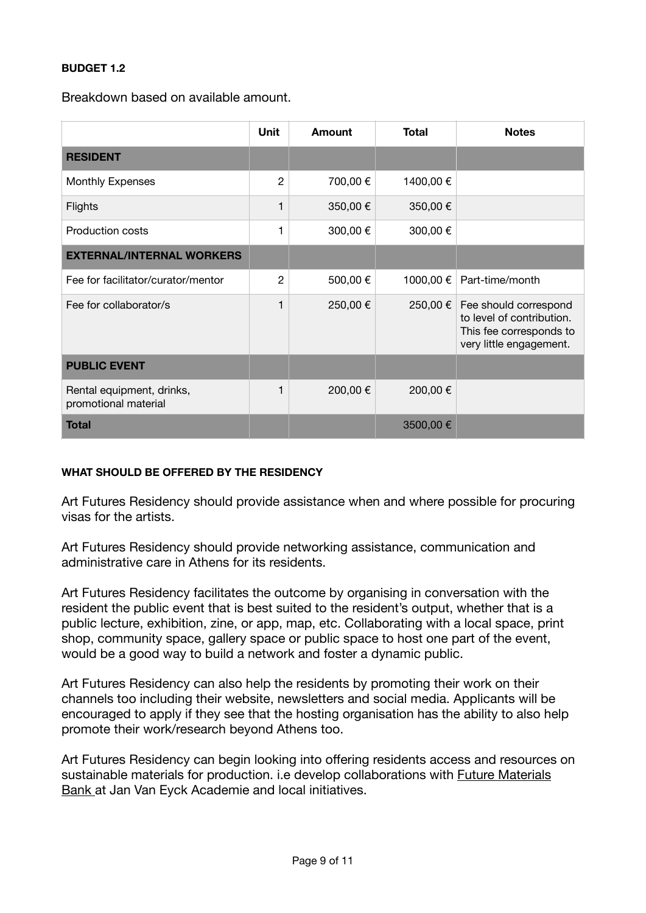#### **BUDGET 1.2**

Breakdown based on available amount.

|                                                   | Unit           | Amount   | <b>Total</b> | <b>Notes</b>                                                                                             |
|---------------------------------------------------|----------------|----------|--------------|----------------------------------------------------------------------------------------------------------|
| <b>RESIDENT</b>                                   |                |          |              |                                                                                                          |
| <b>Monthly Expenses</b>                           | $\overline{2}$ | 700,00 € | 1400,00 €    |                                                                                                          |
| Flights                                           | 1              | 350,00€  | 350,00€      |                                                                                                          |
| <b>Production costs</b>                           |                | 300,00€  | 300,00€      |                                                                                                          |
| <b>EXTERNAL/INTERNAL WORKERS</b>                  |                |          |              |                                                                                                          |
| Fee for facilitator/curator/mentor                | $\overline{2}$ | 500,00€  | 1000,00 €    | Part-time/month                                                                                          |
| Fee for collaborator/s                            | 1              | 250,00€  | 250,00 €     | Fee should correspond<br>to level of contribution.<br>This fee corresponds to<br>very little engagement. |
| <b>PUBLIC EVENT</b>                               |                |          |              |                                                                                                          |
| Rental equipment, drinks,<br>promotional material | 1              | 200,00€  | 200,00€      |                                                                                                          |
| <b>Total</b>                                      |                |          | 3500,00€     |                                                                                                          |

#### **WHAT SHOULD BE OFFERED BY THE RESIDENCY**

Art Futures Residency should provide assistance when and where possible for procuring visas for the artists.

Art Futures Residency should provide networking assistance, communication and administrative care in Athens for its residents.

Art Futures Residency facilitates the outcome by organising in conversation with the resident the public event that is best suited to the resident's output, whether that is a public lecture, exhibition, zine, or app, map, etc. Collaborating with a local space, print shop, community space, gallery space or public space to host one part of the event, would be a good way to build a network and foster a dynamic public.

Art Futures Residency can also help the residents by promoting their work on their channels too including their website, newsletters and social media. Applicants will be encouraged to apply if they see that the hosting organisation has the ability to also help promote their work/research beyond Athens too.

Art Futures Residency can begin looking into offering residents access and resources on sustainable materials for production. i.e develop collaborations with [Future Materials](https://www.futurematerialsbank.com/)  [Bank a](https://www.futurematerialsbank.com/)t Jan Van Eyck Academie and local initiatives.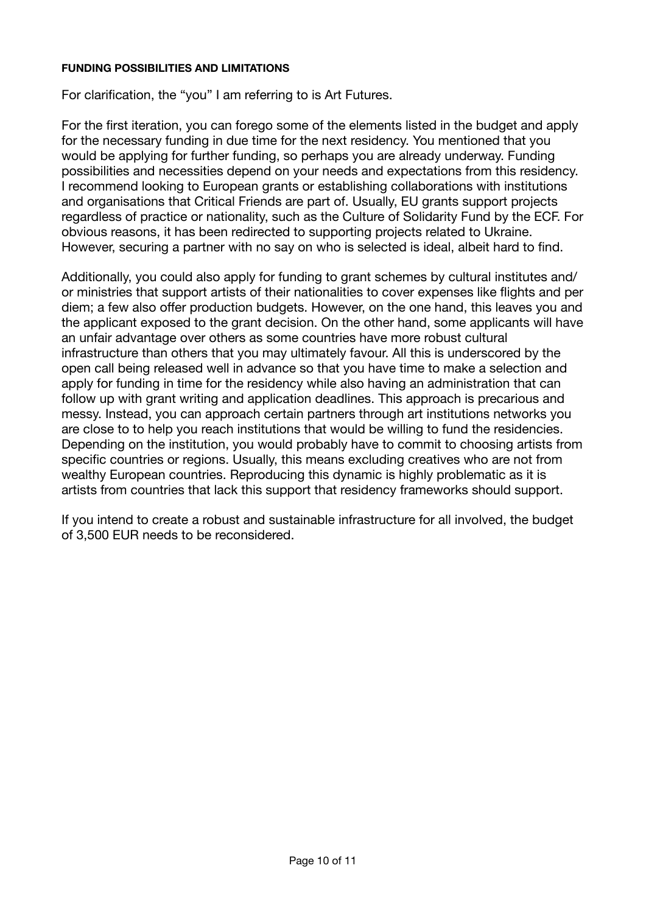#### **FUNDING POSSIBILITIES AND LIMITATIONS**

For clarification, the "you" I am referring to is Art Futures.

For the first iteration, you can forego some of the elements listed in the budget and apply for the necessary funding in due time for the next residency. You mentioned that you would be applying for further funding, so perhaps you are already underway. Funding possibilities and necessities depend on your needs and expectations from this residency. I recommend looking to European grants or establishing collaborations with institutions and organisations that Critical Friends are part of. Usually, EU grants support projects regardless of practice or nationality, such as the Culture of Solidarity Fund by the ECF. For obvious reasons, it has been redirected to supporting projects related to Ukraine. However, securing a partner with no say on who is selected is ideal, albeit hard to find.

Additionally, you could also apply for funding to grant schemes by cultural institutes and/ or ministries that support artists of their nationalities to cover expenses like flights and per diem; a few also offer production budgets. However, on the one hand, this leaves you and the applicant exposed to the grant decision. On the other hand, some applicants will have an unfair advantage over others as some countries have more robust cultural infrastructure than others that you may ultimately favour. All this is underscored by the open call being released well in advance so that you have time to make a selection and apply for funding in time for the residency while also having an administration that can follow up with grant writing and application deadlines. This approach is precarious and messy. Instead, you can approach certain partners through art institutions networks you are close to to help you reach institutions that would be willing to fund the residencies. Depending on the institution, you would probably have to commit to choosing artists from specific countries or regions. Usually, this means excluding creatives who are not from wealthy European countries. Reproducing this dynamic is highly problematic as it is artists from countries that lack this support that residency frameworks should support.

If you intend to create a robust and sustainable infrastructure for all involved, the budget of 3,500 EUR needs to be reconsidered.